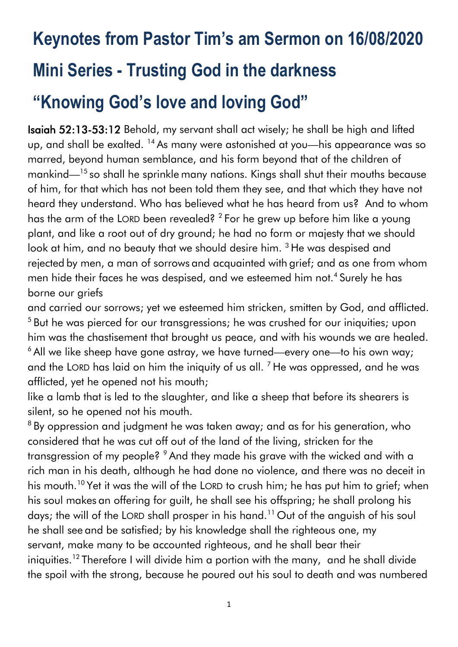# **Keynotes from Pastor Tim's am Sermon on 16/08/2020 Mini Series - Trusting God in the darkness "Knowing God's love and loving God"**

Isaiah 52:13-53:12 Behold, my servant shall act wisely; he shall be high and lifted up, and shall be exalted. <sup>14</sup> As many were astonished at you—his appearance was so marred, beyond human semblance, and his form beyond that of the children of mankind—<sup>15</sup> so shall he sprinkle many nations. Kings shall shut their mouths because of him, for that which has not been told them they see, and that which they have not heard they understand. Who has believed what he has heard from us? And to whom has the arm of the LORD been revealed?  $^2$  For he grew up before him like a young plant, and like a root out of dry ground; he had no form or majesty that we should look at him, and no beauty that we should desire him. <sup>3</sup> He was despised and rejected by men, a man of sorrows and acquainted with grief; and as one from whom men hide their faces he was despised, and we esteemed him not.<sup>4</sup> Surely he has borne our griefs

and carried our sorrows; yet we esteemed him stricken, smitten by God, and afflicted. <sup>5</sup> But he was pierced for our transgressions; he was crushed for our iniquities; upon him was the chastisement that brought us peace, and with his wounds we are healed. <sup>6</sup> All we like sheep have gone astray, we have turned—every one—to his own way; and the LORD has laid on him the iniquity of us all.  $<sup>7</sup>$  He was oppressed, and he was</sup> afflicted, yet he opened not his mouth;

like a lamb that is led to the slaughter, and like a sheep that before its shearers is silent, so he opened not his mouth.

<sup>8</sup> By oppression and judgment he was taken away; and as for his generation, who considered that he was cut off out of the land of the living, stricken for the transgression of my people? <sup>9</sup> And they made his grave with the wicked and with a rich man in his death, although he had done no violence, and there was no deceit in his mouth.<sup>10</sup> Yet it was the will of the LORD to crush him; he has put him to grief; when his soul makes an offering for guilt, he shall see his offspring; he shall prolong his days; the will of the LORD shall prosper in his hand.<sup>11</sup> Out of the anguish of his soul he shall see and be satisfied; by his knowledge shall the righteous one, my servant, make many to be accounted righteous, and he shall bear their iniquities.<sup>12</sup> Therefore I will divide him a portion with the many, and he shall divide the spoil with the strong, because he poured out his soul to death and was numbered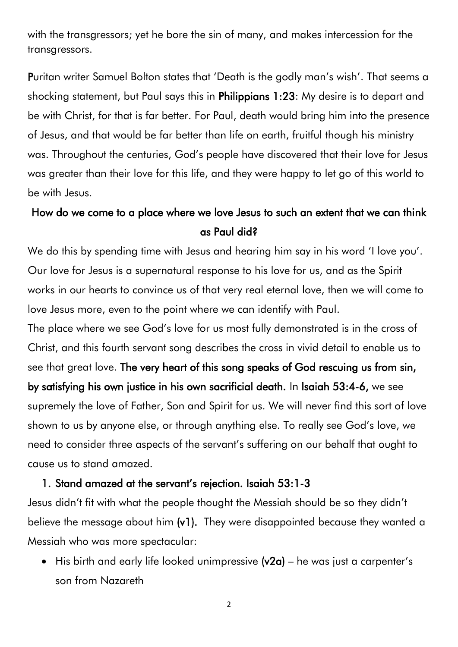with the transgressors; yet he bore the sin of many, and makes intercession for the transgressors.

Puritan writer Samuel Bolton states that 'Death is the godly man's wish'. That seems a shocking statement, but Paul says this in Philippians 1:23: My desire is to depart and be with Christ, for that is far better. For Paul, death would bring him into the presence of Jesus, and that would be far better than life on earth, fruitful though his ministry was. Throughout the centuries, God's people have discovered that their love for Jesus was greater than their love for this life, and they were happy to let go of this world to be with Jesus.

## How do we come to a place where we love Jesus to such an extent that we can think as Paul did?

We do this by spending time with Jesus and hearing him say in his word 'I love you'. Our love for Jesus is a supernatural response to his love for us, and as the Spirit works in our hearts to convince us of that very real eternal love, then we will come to love Jesus more, even to the point where we can identify with Paul.

The place where we see God's love for us most fully demonstrated is in the cross of Christ, and this fourth servant song describes the cross in vivid detail to enable us to see that great love. The very heart of this song speaks of God rescuing us from sin, by satisfying his own justice in his own sacrificial death. In Isaiah 53:4-6, we see supremely the love of Father, Son and Spirit for us. We will never find this sort of love shown to us by anyone else, or through anything else. To really see God's love, we need to consider three aspects of the servant's suffering on our behalf that ought to cause us to stand amazed.

#### 1. Stand amazed at the servant's rejection. Isaiah 53:1-3

Jesus didn't fit with what the people thought the Messiah should be so they didn't believe the message about him (v1). They were disappointed because they wanted a Messiah who was more spectacular:

• His birth and early life looked unimpressive  $(v2a)$  – he was just a carpenter's son from Nazareth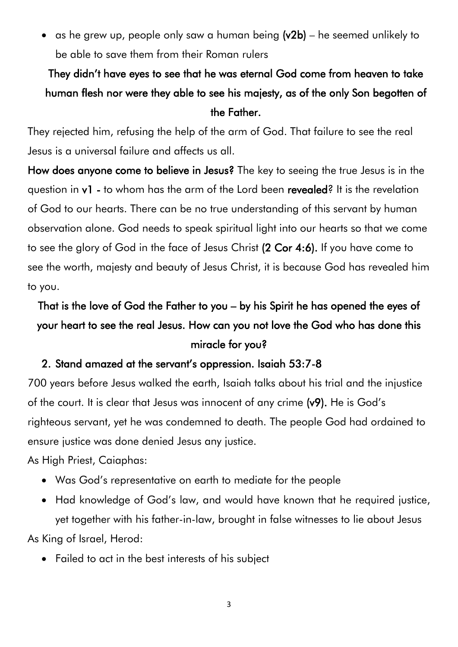• as he grew up, people only saw a human being  $(v2b)$  – he seemed unlikely to be able to save them from their Roman rulers

# They didn't have eyes to see that he was eternal God come from heaven to take human flesh nor were they able to see his majesty, as of the only Son begotten of the Father.

They rejected him, refusing the help of the arm of God. That failure to see the real Jesus is a universal failure and affects us all.

How does anyone come to believe in Jesus? The key to seeing the true Jesus is in the question in v1 - to whom has the arm of the Lord been revealed? It is the revelation of God to our hearts. There can be no true understanding of this servant by human observation alone. God needs to speak spiritual light into our hearts so that we come to see the glory of God in the face of Jesus Christ (2 Cor 4:6). If you have come to see the worth, majesty and beauty of Jesus Christ, it is because God has revealed him to you.

# That is the love of God the Father to you – by his Spirit he has opened the eyes of your heart to see the real Jesus. How can you not love the God who has done this miracle for you?

#### 2. Stand amazed at the servant's oppression. Isaiah 53:7-8

700 years before Jesus walked the earth, Isaiah talks about his trial and the injustice of the court. It is clear that Jesus was innocent of any crime (v9). He is God's righteous servant, yet he was condemned to death. The people God had ordained to ensure justice was done denied Jesus any justice.

As High Priest, Caiaphas:

- Was God's representative on earth to mediate for the people
- Had knowledge of God's law, and would have known that he required justice, yet together with his father-in-law, brought in false witnesses to lie about Jesus

As King of Israel, Herod:

• Failed to act in the best interests of his subject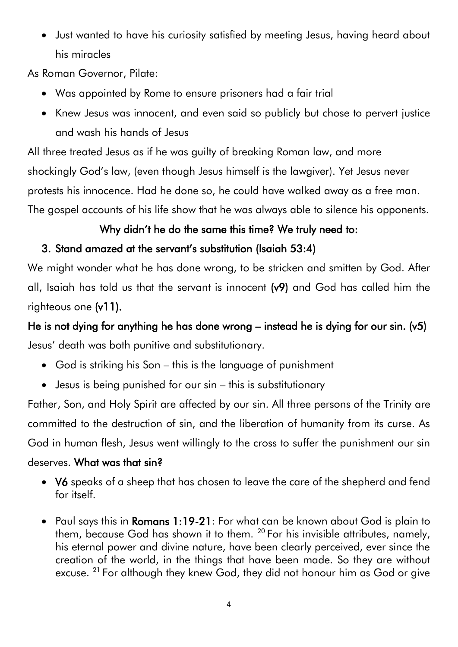• Just wanted to have his curiosity satisfied by meeting Jesus, having heard about his miracles

As Roman Governor, Pilate:

- Was appointed by Rome to ensure prisoners had a fair trial
- Knew Jesus was innocent, and even said so publicly but chose to pervert justice and wash his hands of Jesus

All three treated Jesus as if he was guilty of breaking Roman law, and more shockingly God's law, (even though Jesus himself is the lawgiver). Yet Jesus never protests his innocence. Had he done so, he could have walked away as a free man. The gospel accounts of his life show that he was always able to silence his opponents.

## Why didn't he do the same this time? We truly need to:

## 3. Stand amazed at the servant's substitution (Isaiah 53:4)

We might wonder what he has done wrong, to be stricken and smitten by God. After all, Isaiah has told us that the servant is innocent (v9) and God has called him the righteous one (v11).

He is not dying for anything he has done wrong – instead he is dying for our sin. (v5) Jesus' death was both punitive and substitutionary.

- God is striking his Son this is the language of punishment
- Jesus is being punished for our sin this is substitutionary

Father, Son, and Holy Spirit are affected by our sin. All three persons of the Trinity are committed to the destruction of sin, and the liberation of humanity from its curse. As God in human flesh, Jesus went willingly to the cross to suffer the punishment our sin deserves. What was that sin?

### • V6 speaks of a sheep that has chosen to leave the care of the shepherd and fend for itself.

• Paul says this in Romans 1:19-21: For what can be known about God is plain to them, because God has shown it to them. <sup>20</sup> For his invisible attributes, namely, his eternal power and divine nature, have been clearly perceived, ever since the creation of the world, in the things that have been made. So they are without excuse. <sup>21</sup> For although they knew God, they did not honour him as God or give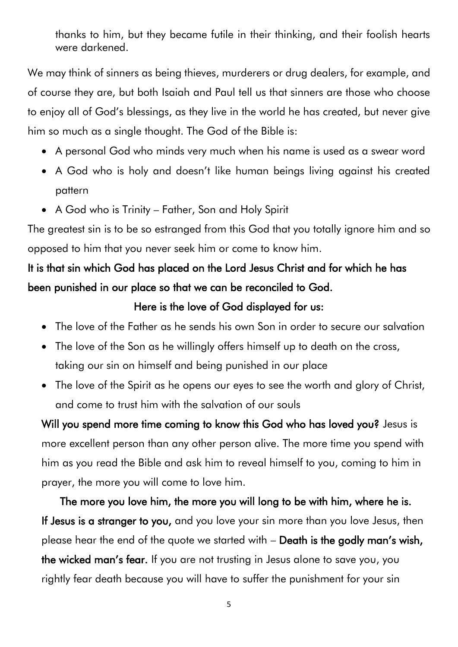thanks to him, but they became futile in their thinking, and their foolish hearts were darkened.

We may think of sinners as being thieves, murderers or drug dealers, for example, and of course they are, but both Isaiah and Paul tell us that sinners are those who choose to enjoy all of God's blessings, as they live in the world he has created, but never give him so much as a single thought. The God of the Bible is:

- A personal God who minds very much when his name is used as a swear word
- A God who is holy and doesn't like human beings living against his created pattern
- A God who is Trinity Father, Son and Holy Spirit

The greatest sin is to be so estranged from this God that you totally ignore him and so opposed to him that you never seek him or come to know him.

# It is that sin which God has placed on the Lord Jesus Christ and for which he has been punished in our place so that we can be reconciled to God.

#### Here is the love of God displayed for us:

- The love of the Father as he sends his own Son in order to secure our salvation
- The love of the Son as he willingly offers himself up to death on the cross, taking our sin on himself and being punished in our place
- The love of the Spirit as he opens our eyes to see the worth and glory of Christ, and come to trust him with the salvation of our souls

Will you spend more time coming to know this God who has loved you? Jesus is more excellent person than any other person alive. The more time you spend with him as you read the Bible and ask him to reveal himself to you, coming to him in prayer, the more you will come to love him.

The more you love him, the more you will long to be with him, where he is. If Jesus is a stranger to you, and you love your sin more than you love Jesus, then please hear the end of the quote we started with – Death is the godly man's wish, the wicked man's fear. If you are not trusting in Jesus alone to save you, you rightly fear death because you will have to suffer the punishment for your sin